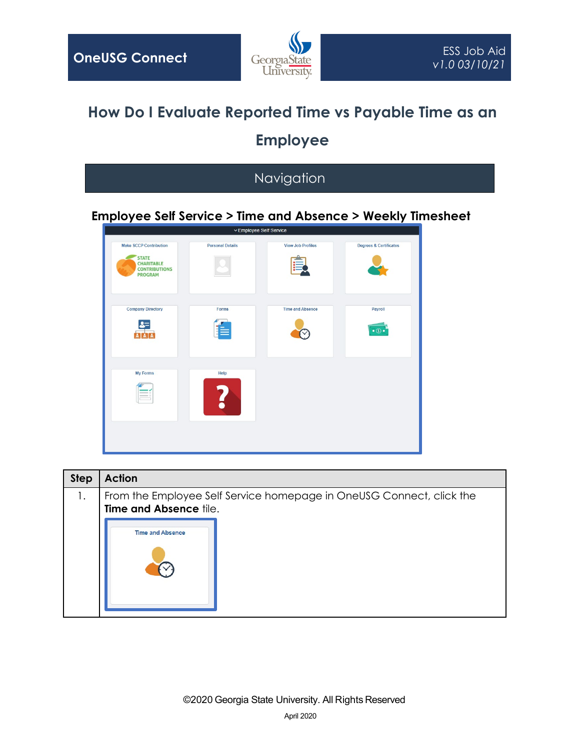

## **How Do I Evaluate Reported Time vs Payable Time as an Employee**

## Navigation

## **Employee Self Service > Time and Absence > Weekly Timesheet**



| <b>Step</b> | <b>Action</b>                                                                                  |  |  |  |  |  |  |  |
|-------------|------------------------------------------------------------------------------------------------|--|--|--|--|--|--|--|
| 1.          | From the Employee Self Service homepage in OneUSG Connect, click the<br>Time and Absence tile. |  |  |  |  |  |  |  |
|             | <b>Time and Absence</b>                                                                        |  |  |  |  |  |  |  |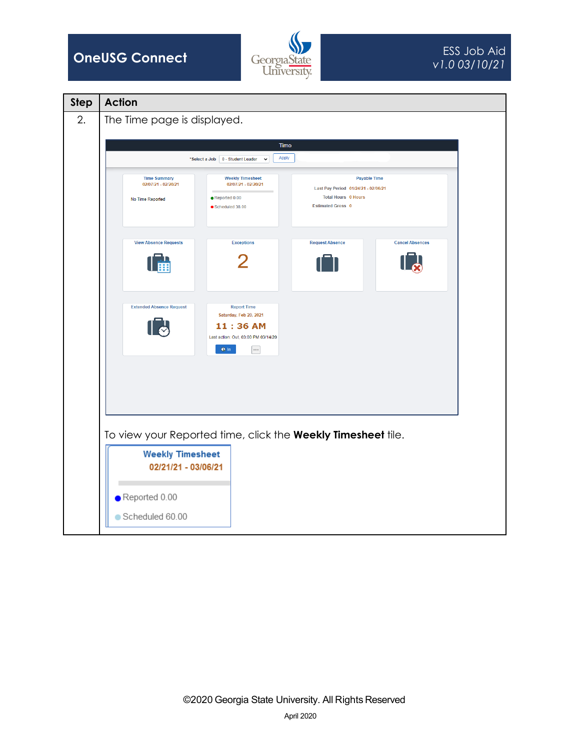



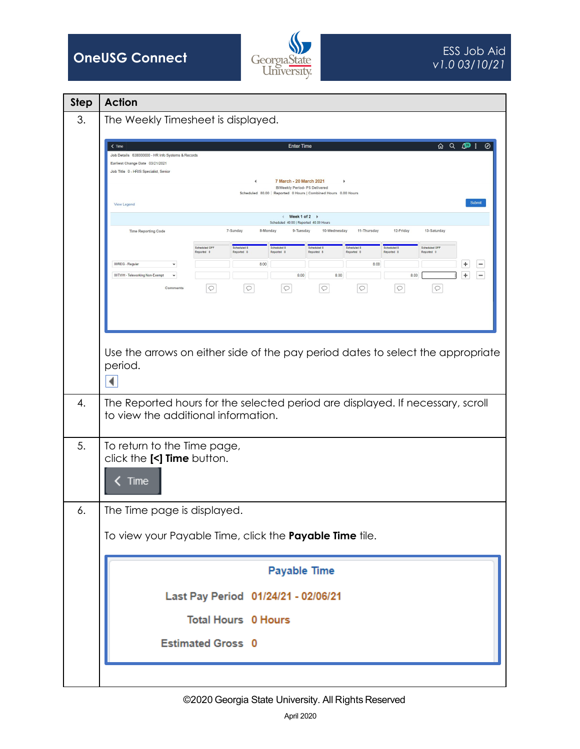



| <b>Step</b> | <b>Action</b>                                                                                                                                                                                                                                                                                                                             |  |  |  |  |  |  |  |
|-------------|-------------------------------------------------------------------------------------------------------------------------------------------------------------------------------------------------------------------------------------------------------------------------------------------------------------------------------------------|--|--|--|--|--|--|--|
| 3.          | The Weekly Timesheet is displayed.                                                                                                                                                                                                                                                                                                        |  |  |  |  |  |  |  |
|             | <b>Enter Time</b><br>Ø<br>$\zeta$ Time<br>Job Details 638000000 - HR Info Systems & Records<br>Earliest Change Date 03/21/2021<br>Job Title 0 - HRIS Specialist, Senior<br>7 March - 20 March 2021<br>∢<br>٠<br><b>BiWeekly Period- PS Delivered</b><br>Scheduled 80.00   Reported 0 Hours   Combined Hours 0.00 Hours                    |  |  |  |  |  |  |  |
|             | Submit<br>View Legend                                                                                                                                                                                                                                                                                                                     |  |  |  |  |  |  |  |
|             | Week 1 of 2 $\rightarrow$<br>$\leftarrow$<br>Scheduled 40.00   Reported 40.00 Hours                                                                                                                                                                                                                                                       |  |  |  |  |  |  |  |
|             | 7-Sunday<br>8-Monday<br>9-Tuesday<br>10-Wednesday<br>11-Thursday<br>12-Friday<br>13-Saturday<br><b>Time Reporting Code</b><br>Scheduled OFF<br>Scheduled &<br>Scheduled 8<br>Scheduled 8<br>Scheduled 8<br>Scheduled OFF<br>Scheduled 8<br>Reported 0<br>Reported 8<br>Reported 8<br>Reported 8<br>Reported 8<br>Reported 8<br>Reported 0 |  |  |  |  |  |  |  |
|             | 00REG - Regular<br>8.00<br>8.00<br>÷<br>$\check{}$                                                                                                                                                                                                                                                                                        |  |  |  |  |  |  |  |
|             | ÷<br>8.00<br>8.00<br>8.00<br>00TWH - Teleworking Non-Exempt<br>$\check{}$<br>$\circ$<br>$\circ$<br>$\circ$<br>$\circlearrowright$<br>$\circ$<br>$\circ$<br>$\circ$<br>Comments                                                                                                                                                            |  |  |  |  |  |  |  |
|             | Use the arrows on either side of the pay period dates to select the appropriate<br>period.<br>◀                                                                                                                                                                                                                                           |  |  |  |  |  |  |  |
| 4.          | The Reported hours for the selected period are displayed. If necessary, scroll<br>to view the additional information.                                                                                                                                                                                                                     |  |  |  |  |  |  |  |
| 5.          | To return to the Time page,<br>click the [<] Time button.<br>Time                                                                                                                                                                                                                                                                         |  |  |  |  |  |  |  |
| 6.          | The Time page is displayed.                                                                                                                                                                                                                                                                                                               |  |  |  |  |  |  |  |
|             | To view your Payable Time, click the Payable Time tile.<br><b>Payable Time</b><br>Last Pay Period 01/24/21 - 02/06/21<br><b>Total Hours 0 Hours</b>                                                                                                                                                                                       |  |  |  |  |  |  |  |
|             |                                                                                                                                                                                                                                                                                                                                           |  |  |  |  |  |  |  |
|             |                                                                                                                                                                                                                                                                                                                                           |  |  |  |  |  |  |  |
|             |                                                                                                                                                                                                                                                                                                                                           |  |  |  |  |  |  |  |
|             | <b>Estimated Gross 0</b>                                                                                                                                                                                                                                                                                                                  |  |  |  |  |  |  |  |
|             |                                                                                                                                                                                                                                                                                                                                           |  |  |  |  |  |  |  |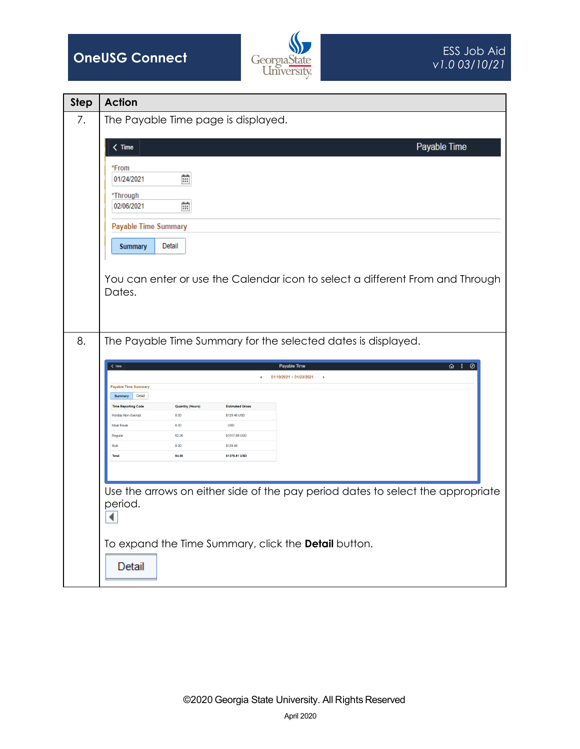



| <b>Step</b> | <b>Action</b>                                                                                                                 |                                                                                 |  |  |  |  |  |
|-------------|-------------------------------------------------------------------------------------------------------------------------------|---------------------------------------------------------------------------------|--|--|--|--|--|
| 7.          | The Payable Time page is displayed.                                                                                           |                                                                                 |  |  |  |  |  |
|             | $\langle$ Time                                                                                                                | Payable Time                                                                    |  |  |  |  |  |
|             |                                                                                                                               |                                                                                 |  |  |  |  |  |
|             | *From<br>苗<br>01/24/2021                                                                                                      |                                                                                 |  |  |  |  |  |
|             | *Through                                                                                                                      |                                                                                 |  |  |  |  |  |
|             | 蘦<br>02/06/2021                                                                                                               |                                                                                 |  |  |  |  |  |
|             | <b>Payable Time Summary</b>                                                                                                   |                                                                                 |  |  |  |  |  |
|             | <b>Summary</b><br>Detail                                                                                                      |                                                                                 |  |  |  |  |  |
|             |                                                                                                                               |                                                                                 |  |  |  |  |  |
|             | Dates.                                                                                                                        | You can enter or use the Calendar icon to select a different From and Through   |  |  |  |  |  |
|             |                                                                                                                               |                                                                                 |  |  |  |  |  |
|             |                                                                                                                               |                                                                                 |  |  |  |  |  |
| 8.          | The Payable Time Summary for the selected dates is displayed.                                                                 |                                                                                 |  |  |  |  |  |
|             |                                                                                                                               |                                                                                 |  |  |  |  |  |
|             | $\hat{\omega}$ : $\emptyset$<br>$\langle$ Time<br>Payable Time<br>01/10/2021 - 01/23/2021                                     |                                                                                 |  |  |  |  |  |
|             | <b>Payable Time Summary</b><br>Detail<br><b>Summary</b>                                                                       |                                                                                 |  |  |  |  |  |
|             | <b>Time Reporting Code</b><br><b>Quantity (Hours)</b><br><b>Estimated Gross</b><br>Holiday Non-Exempt<br>8.00<br>\$129.46 USD |                                                                                 |  |  |  |  |  |
|             | <b>Meal Break</b><br><b>USD</b><br>6.00<br>\$1017,89 USD<br>62.90<br>Regular                                                  |                                                                                 |  |  |  |  |  |
|             | Sick<br>8.00<br>\$129.46<br>\$1276.81 USD<br><b>Total</b><br>84.90                                                            |                                                                                 |  |  |  |  |  |
|             |                                                                                                                               |                                                                                 |  |  |  |  |  |
|             |                                                                                                                               | Use the arrows on either side of the pay period dates to select the appropriate |  |  |  |  |  |
|             | period.                                                                                                                       |                                                                                 |  |  |  |  |  |
|             | ◀                                                                                                                             |                                                                                 |  |  |  |  |  |
|             | To expand the Time Summary, click the Detail button.                                                                          |                                                                                 |  |  |  |  |  |
|             |                                                                                                                               |                                                                                 |  |  |  |  |  |
|             | Detail                                                                                                                        |                                                                                 |  |  |  |  |  |